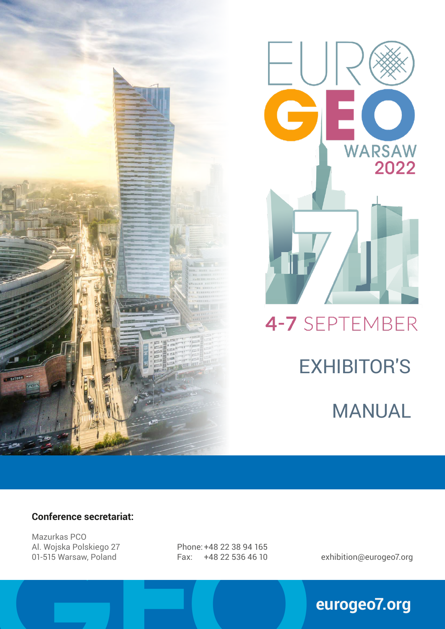



### 4-7 SEPTEMBER

# EXHIBITOR'S

MANUAL

#### **Conference secretariat:**

Al. Wojska Polskiego 27<br>
01-515 Warsaw, Poland Fax: +48 22 38 94 165<br> **GEO**<br>
Eax: +48 22 536 46 10 Mazurkas PCO Al. Wojska Polskiego 27 01-515 Warsaw, Poland

Phone:+48 22 38 94 165 Fax: +48 22 536 46 10 exhibition@eurogeo7.org

### **eurogeo7.org**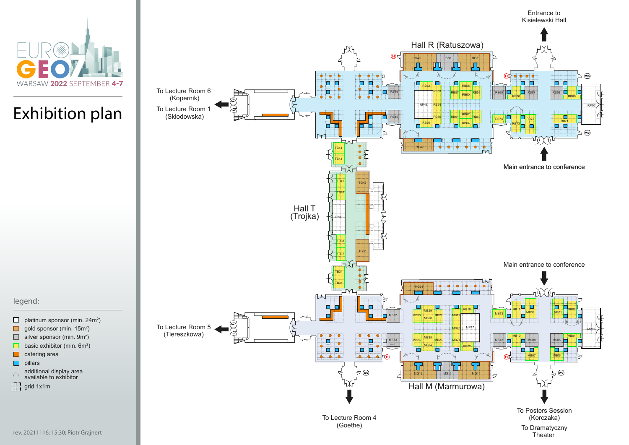- $\Box$ platinum sponsor (min. 24m²)  $\Box$ gold sponsor (min. 15m $^2$ )  $\Box$ silver sponsor (min. 9m²)  $\Box$ basic exhibitor (min. 6m $^2$ )  $\overline{\phantom{a}}$ catering area
- pillars  $\Box$
- additional display area  $\widehat{\mathbb{Y}}$ available to exhibitor
- $\Box$ grid 1x1m



Exhibition plan

legend:

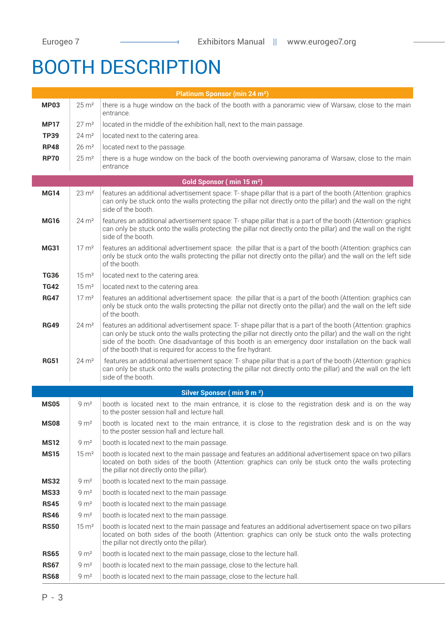### BOOTH DESCRIPTION

| <b>Platinum Sponsor (min 24 m<sup>2</sup>)</b> |                      |                                                                                                                                                                                                                                                                                                                                                                                                         |  |  |  |
|------------------------------------------------|----------------------|---------------------------------------------------------------------------------------------------------------------------------------------------------------------------------------------------------------------------------------------------------------------------------------------------------------------------------------------------------------------------------------------------------|--|--|--|
| <b>MP03</b>                                    | $25 \,\mathrm{m}^2$  | there is a huge window on the back of the booth with a panoramic view of Warsaw, close to the main<br>entrance.                                                                                                                                                                                                                                                                                         |  |  |  |
| <b>MP17</b>                                    | $27 \text{ m}^2$     | located in the middle of the exhibition hall, next to the main passage.                                                                                                                                                                                                                                                                                                                                 |  |  |  |
| <b>TP39</b>                                    | $24 \text{ m}^2$     | located next to the catering area.                                                                                                                                                                                                                                                                                                                                                                      |  |  |  |
| <b>RP48</b>                                    | $26 \text{ m}^2$     | located next to the passage.                                                                                                                                                                                                                                                                                                                                                                            |  |  |  |
| <b>RP70</b>                                    | $25 \,\mathrm{m}^2$  | there is a huge window on the back of the booth overviewing panorama of Warsaw, close to the main<br>entrance                                                                                                                                                                                                                                                                                           |  |  |  |
| Gold Sponsor (min 15 m <sup>2</sup> )          |                      |                                                                                                                                                                                                                                                                                                                                                                                                         |  |  |  |
| <b>MG14</b>                                    | $23 \, \text{m}^2$   | features an additional advertisement space: T- shape pillar that is a part of the booth (Attention: graphics<br>can only be stuck onto the walls protecting the pillar not directly onto the pillar) and the wall on the right<br>side of the booth.                                                                                                                                                    |  |  |  |
| <b>MG16</b>                                    | $24 \mathrm{m}^2$    | features an additional advertisement space: T- shape pillar that is a part of the booth (Attention: graphics<br>can only be stuck onto the walls protecting the pillar not directly onto the pillar) and the wall on the right<br>side of the booth.                                                                                                                                                    |  |  |  |
| <b>MG31</b>                                    | $17 \text{ m}^2$     | features an additional advertisement space: the pillar that is a part of the booth (Attention: graphics can<br>only be stuck onto the walls protecting the pillar not directly onto the pillar) and the wall on the left side<br>of the booth.                                                                                                                                                          |  |  |  |
| <b>TG36</b>                                    | $15 \text{ m}^2$     | located next to the catering area.                                                                                                                                                                                                                                                                                                                                                                      |  |  |  |
| <b>TG42</b>                                    | $15 \text{ m}^2$     | located next to the catering area.                                                                                                                                                                                                                                                                                                                                                                      |  |  |  |
| <b>RG47</b>                                    | $17 \text{ m}^2$     | features an additional advertisement space: the pillar that is a part of the booth (Attention: graphics can<br>only be stuck onto the walls protecting the pillar not directly onto the pillar) and the wall on the left side<br>of the booth.                                                                                                                                                          |  |  |  |
| <b>RG49</b>                                    | $24 \mathrm{m}^2$    | features an additional advertisement space: T- shape pillar that is a part of the booth (Attention: graphics<br>can only be stuck onto the walls protecting the pillar not directly onto the pillar) and the wall on the right<br>side of the booth. One disadvantage of this booth is an emergency door installation on the back wall<br>of the booth that is required for access to the fire hydrant. |  |  |  |
| <b>RG51</b>                                    | $24 \, \mathrm{m}^2$ | features an additional advertisement space: T- shape pillar that is a part of the booth (Attention: graphics<br>can only be stuck onto the walls protecting the pillar not directly onto the pillar) and the wall on the left<br>side of the booth.                                                                                                                                                     |  |  |  |
|                                                |                      | Silver Sponsor (min 9 m <sup>2</sup> )                                                                                                                                                                                                                                                                                                                                                                  |  |  |  |
| <b>MS05</b>                                    | $9 \text{ m}^2$      | booth is located next to the main entrance, it is close to the registration desk and is on the way<br>to the poster session hall and lecture hall.                                                                                                                                                                                                                                                      |  |  |  |
| <b>MS08</b>                                    | 9 m <sup>2</sup>     | booth is located next to the main entrance, it is close to the registration desk and is on the way<br>to the poster session hall and lecture hall.                                                                                                                                                                                                                                                      |  |  |  |
| <b>MS12</b>                                    | 9 m <sup>2</sup>     | booth is located next to the main passage.                                                                                                                                                                                                                                                                                                                                                              |  |  |  |
| <b>MS15</b>                                    | $15 \, \mathrm{m}^2$ | booth is located next to the main passage and features an additional advertisement space on two pillars<br>located on both sides of the booth (Attention: graphics can only be stuck onto the walls protecting<br>the pillar not directly onto the pillar).                                                                                                                                             |  |  |  |
| <b>MS32</b>                                    | $9 \text{ m}^2$      | booth is located next to the main passage.                                                                                                                                                                                                                                                                                                                                                              |  |  |  |
| <b>MS33</b>                                    | 9 m <sup>2</sup>     | booth is located next to the main passage.                                                                                                                                                                                                                                                                                                                                                              |  |  |  |
| <b>RS45</b>                                    | 9 m <sup>2</sup>     | booth is located next to the main passage.                                                                                                                                                                                                                                                                                                                                                              |  |  |  |
| <b>RS46</b>                                    | 9 m <sup>2</sup>     | booth is located next to the main passage.                                                                                                                                                                                                                                                                                                                                                              |  |  |  |
| <b>RS50</b>                                    | $15 \, \mathrm{m}^2$ | booth is located next to the main passage and features an additional advertisement space on two pillars<br>located on both sides of the booth (Attention: graphics can only be stuck onto the walls protecting<br>the pillar not directly onto the pillar).                                                                                                                                             |  |  |  |
| <b>RS65</b>                                    | 9 m <sup>2</sup>     | booth is located next to the main passage, close to the lecture hall.                                                                                                                                                                                                                                                                                                                                   |  |  |  |
| <b>RS67</b>                                    | 9 m <sup>2</sup>     | booth is located next to the main passage, close to the lecture hall.                                                                                                                                                                                                                                                                                                                                   |  |  |  |
| <b>RS68</b>                                    | 9 m <sup>2</sup>     | booth is located next to the main passage, close to the lecture hall.                                                                                                                                                                                                                                                                                                                                   |  |  |  |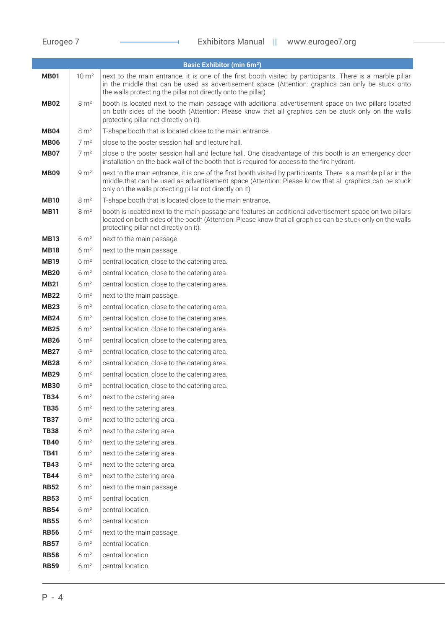|                            |                                         | <b>Basic Exhibitor (min 6m<sup>2</sup>)</b>                                                                                                                                                                                                                                           |
|----------------------------|-----------------------------------------|---------------------------------------------------------------------------------------------------------------------------------------------------------------------------------------------------------------------------------------------------------------------------------------|
| <b>MB01</b>                | $10 \text{ m}^2$                        | next to the main entrance, it is one of the first booth visited by participants. There is a marble pillar<br>in the middle that can be used as advertisement space (Attention: graphics can only be stuck onto<br>the walls protecting the pillar not directly onto the pillar).      |
| <b>MB02</b>                | $8 \text{ m}^2$                         | booth is located next to the main passage with additional advertisement space on two pillars located<br>on both sides of the booth (Attention: Please know that all graphics can be stuck only on the walls<br>protecting pillar not directly on it).                                 |
| MB <sub>04</sub>           | 8 m <sup>2</sup>                        | T-shape booth that is located close to the main entrance.                                                                                                                                                                                                                             |
| <b>MB06</b>                | $7 \text{ m}^2$                         | close to the poster session hall and lecture hall.                                                                                                                                                                                                                                    |
| <b>MB07</b>                | $7 \text{ m}^2$                         | close o the poster session hall and lecture hall. One disadvantage of this booth is an emergency door<br>installation on the back wall of the booth that is required for access to the fire hydrant.                                                                                  |
| <b>MB09</b>                | 9 m <sup>2</sup>                        | next to the main entrance, it is one of the first booth visited by participants. There is a marble pillar in the<br>middle that can be used as advertisement space (Attention: Please know that all graphics can be stuck<br>only on the walls protecting pillar not directly on it). |
| <b>MB10</b>                | $8 \mathrm{m}^2$                        | T-shape booth that is located close to the main entrance.                                                                                                                                                                                                                             |
| <b>MB11</b>                | $8 \text{ m}^2$                         | booth is located next to the main passage and features an additional advertisement space on two pillars<br>located on both sides of the booth (Attention: Please know that all graphics can be stuck only on the walls<br>protecting pillar not directly on it).                      |
| <b>MB13</b>                | $6 \text{ m}^2$                         | next to the main passage.                                                                                                                                                                                                                                                             |
| <b>MB18</b>                | $6 \text{ m}^2$                         | next to the main passage.                                                                                                                                                                                                                                                             |
| <b>MB19</b>                | $6 \text{ m}^2$                         | central location, close to the catering area.                                                                                                                                                                                                                                         |
| <b>MB20</b>                | $6 \text{ m}^2$                         | central location, close to the catering area.                                                                                                                                                                                                                                         |
| <b>MB21</b>                | $6 \text{ m}^2$                         | central location, close to the catering area.                                                                                                                                                                                                                                         |
| <b>MB22</b>                | $6 \text{ m}^2$                         | next to the main passage.                                                                                                                                                                                                                                                             |
| <b>MB23</b>                | $6 \text{ m}^2$                         | central location, close to the catering area.                                                                                                                                                                                                                                         |
| <b>MB24</b>                | $6 \text{ m}^2$                         | central location, close to the catering area.                                                                                                                                                                                                                                         |
| <b>MB25</b>                | $6 \text{ m}^2$                         | central location, close to the catering area.                                                                                                                                                                                                                                         |
| <b>MB26</b>                | $6 \text{ m}^2$                         | central location, close to the catering area.                                                                                                                                                                                                                                         |
| <b>MB27</b>                | $6 \text{ m}^2$                         | central location, close to the catering area.                                                                                                                                                                                                                                         |
| <b>MB28</b>                | $6 \text{ m}^2$                         | central location, close to the catering area.                                                                                                                                                                                                                                         |
| <b>MB29</b>                | $6 \text{ m}^2$                         | central location, close to the catering area.                                                                                                                                                                                                                                         |
| <b>MB30</b>                | $6 \, \mathrm{m}^2$                     | central location, close to the catering area.                                                                                                                                                                                                                                         |
| <b>TB34</b>                | $6 \, \mathrm{m}^2$                     | next to the catering area.                                                                                                                                                                                                                                                            |
| <b>TB35</b>                | 6 m <sup>2</sup>                        | next to the catering area.                                                                                                                                                                                                                                                            |
| <b>TB37</b>                | $6 \, \mathrm{m}^2$                     | next to the catering area.                                                                                                                                                                                                                                                            |
| <b>TB38</b><br><b>TB40</b> | $6 \, \mathrm{m}^2$<br>6 m <sup>2</sup> | next to the catering area.<br>next to the catering area.                                                                                                                                                                                                                              |
| <b>TB41</b>                | $6 \, \mathrm{m}^2$                     | next to the catering area.                                                                                                                                                                                                                                                            |
| <b>TB43</b>                | $6 \, \mathrm{m}^2$                     | next to the catering area.                                                                                                                                                                                                                                                            |
| <b>TB44</b>                | $6 \, \mathrm{m}^2$                     | next to the catering area.                                                                                                                                                                                                                                                            |
| <b>RB52</b>                | $6 \, \mathrm{m}^2$                     | next to the main passage.                                                                                                                                                                                                                                                             |
| <b>RB53</b>                | $6 \, \text{m}^2$                       | central location.                                                                                                                                                                                                                                                                     |
| <b>RB54</b>                | $6 \, \mathrm{m}^2$                     | central location.                                                                                                                                                                                                                                                                     |
| <b>RB55</b>                | $6 \, \mathrm{m}^2$                     | central location.                                                                                                                                                                                                                                                                     |
| <b>RB56</b>                | $6 \, \mathrm{m}^2$                     | next to the main passage.                                                                                                                                                                                                                                                             |
| <b>RB57</b>                | $6 \, \mathrm{m}^2$                     | central location.                                                                                                                                                                                                                                                                     |
| <b>RB58</b>                | $6 \, \mathrm{m}^2$                     | central location.                                                                                                                                                                                                                                                                     |
| <b>RB59</b>                | 6 m <sup>2</sup>                        | central location.                                                                                                                                                                                                                                                                     |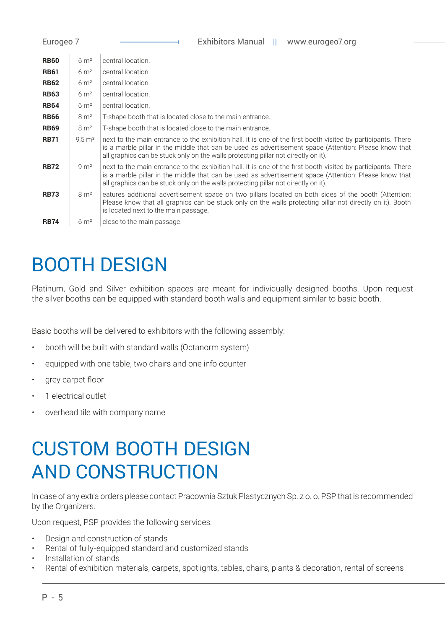| <b>Exhibitors Manual</b><br>Eurogeo 7<br>H.<br>www.eurogeo7.org |                      |                                                                                                                                                                                                                                                                                                              |  |  |
|-----------------------------------------------------------------|----------------------|--------------------------------------------------------------------------------------------------------------------------------------------------------------------------------------------------------------------------------------------------------------------------------------------------------------|--|--|
| <b>RB60</b>                                                     | $6 \text{ m}^2$      | central location.                                                                                                                                                                                                                                                                                            |  |  |
| <b>RB61</b>                                                     | $6 \text{ m}^2$      | central location.                                                                                                                                                                                                                                                                                            |  |  |
| <b>RB62</b>                                                     | $6 \text{ m}^2$      | central location.                                                                                                                                                                                                                                                                                            |  |  |
| <b>RB63</b>                                                     | $6 \text{ m}^2$      | central location.                                                                                                                                                                                                                                                                                            |  |  |
| <b>RB64</b>                                                     | $6 \text{ m}^2$      | central location.                                                                                                                                                                                                                                                                                            |  |  |
| <b>RB66</b>                                                     | 8 m <sup>2</sup>     | T-shape booth that is located close to the main entrance.                                                                                                                                                                                                                                                    |  |  |
| <b>RB69</b>                                                     | 8 m <sup>2</sup>     | T-shape booth that is located close to the main entrance.                                                                                                                                                                                                                                                    |  |  |
| <b>RB71</b>                                                     | $9.5 \,\mathrm{m}^2$ | next to the main entrance to the exhibition hall, it is one of the first booth visited by participants. There<br>is a marble pillar in the middle that can be used as advertisement space (Attention: Please know that<br>all graphics can be stuck only on the walls protecting pillar not directly on it). |  |  |
| <b>RB72</b>                                                     | $9 \text{ m}^2$      | next to the main entrance to the exhibition hall, it is one of the first booth visited by participants. There<br>is a marble pillar in the middle that can be used as advertisement space (Attention: Please know that<br>all graphics can be stuck only on the walls protecting pillar not directly on it). |  |  |
| <b>RB73</b>                                                     | $8 \mathrm{m}^2$     | eatures additional advertisement space on two pillars located on both sides of the booth (Attention:<br>Please know that all graphics can be stuck only on the walls protecting pillar not directly on it). Booth<br>is located next to the main passage.                                                    |  |  |
| <b>RB74</b>                                                     | $6 \mathrm{m}^2$     | close to the main passage.                                                                                                                                                                                                                                                                                   |  |  |

## BOOTH DESIGN

Platinum, Gold and Silver exhibition spaces are meant for individually designed booths. Upon request the silver booths can be equipped with standard booth walls and equipment similar to basic booth.

Basic booths will be delivered to exhibitors with the following assembly:

- booth will be built with standard walls (Octanorm system)
- equipped with one table, two chairs and one info counter
- grey carpet floor
- 1 electrical outlet
- overhead tile with company name

### CUSTOM BOOTH DESIGN AND CONSTRUCTION

In case of any extra orders please contact Pracownia Sztuk Plastycznych Sp. z o. o. PSP that is recommended by the Organizers.

Upon request, PSP provides the following services:

- Design and construction of stands
- Rental of fully-equipped standard and customized stands
- Installation of stands
- Rental of exhibition materials, carpets, spotlights, tables, chairs, plants & decoration, rental of screens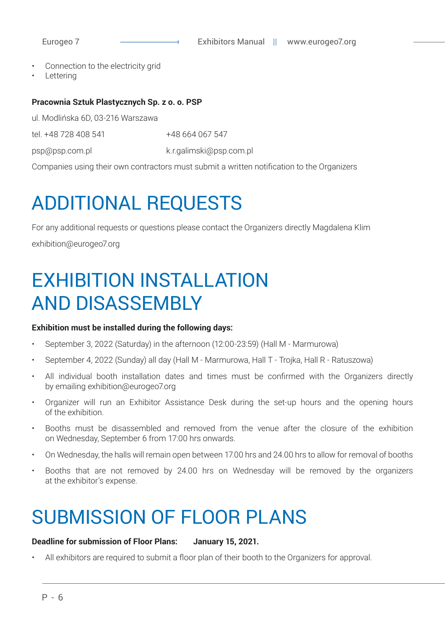- Connection to the electricity grid
- **Lettering**

#### **Pracownia Sztuk Plastycznych Sp. z o. o. PSP**

ul. Modlińska 6D, 03-216 Warszawa

tel. +48 728 408 541 +48 664 067 547

psp@psp.com.pl k.r.galimski@psp.com.pl

Companies using their own contractors must submit a written notification to the Organizers

### ADDITIONAL REQUESTS

For any additional requests or questions please contact the Organizers directly Magdalena Klim exhibition@eurogeo7.org

### EXHIBITION INSTALLATION AND DISASSEMBLY

#### **Exhibition must be installed during the following days:**

- September 3, 2022 (Saturday) in the afternoon (12:00-23:59) (Hall M Marmurowa)
- September 4, 2022 (Sunday) all day (Hall M Marmurowa, Hall T Trojka, Hall R Ratuszowa)
- All individual booth installation dates and times must be confirmed with the Organizers directly by emailing exhibition@eurogeo7.org
- Organizer will run an Exhibitor Assistance Desk during the set-up hours and the opening hours of the exhibition.
- Booths must be disassembled and removed from the venue after the closure of the exhibition on Wednesday, September 6 from 17:00 hrs onwards.
- On Wednesday, the halls will remain open between 17.00 hrs and 24.00 hrs to allow for removal of booths
- Booths that are not removed by 24.00 hrs on Wednesday will be removed by the organizers at the exhibitor's expense.

### SUBMISSION OF FLOOR PLANS

#### **Deadline for submission of Floor Plans: January 15, 2021.**

• All exhibitors are required to submit a floor plan of their booth to the Organizers for approval.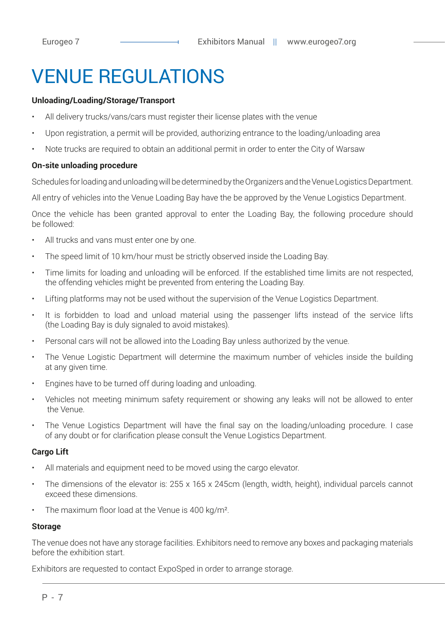### **VENUE REGULATIONS**

#### **Unloading/Loading/Storage/Transport**

- All delivery trucks/vans/cars must register their license plates with the venue
- Upon registration, a permit will be provided, authorizing entrance to the loading/unloading area
- Note trucks are required to obtain an additional permit in order to enter the City of Warsaw

#### **On-site unloading procedure**

Schedules for loading and unloading will be determined by the Organizers and the Venue Logistics Department.

All entry of vehicles into the Venue Loading Bay have the be approved by the Venue Logistics Department.

Once the vehicle has been granted approval to enter the Loading Bay, the following procedure should be followed:

- All trucks and vans must enter one by one.
- The speed limit of 10 km/hour must be strictly observed inside the Loading Bay.
- Time limits for loading and unloading will be enforced. If the established time limits are not respected, the offending vehicles might be prevented from entering the Loading Bay.
- Lifting platforms may not be used without the supervision of the Venue Logistics Department.
- It is forbidden to load and unload material using the passenger lifts instead of the service lifts (the Loading Bay is duly signaled to avoid mistakes).
- Personal cars will not be allowed into the Loading Bay unless authorized by the venue.
- The Venue Logistic Department will determine the maximum number of vehicles inside the building at any given time.
- Engines have to be turned off during loading and unloading.
- Vehicles not meeting minimum safety requirement or showing any leaks will not be allowed to enter the Venue.
- The Venue Logistics Department will have the final say on the loading/unloading procedure. I case of any doubt or for clarification please consult the Venue Logistics Department.

#### **Cargo Lift**

- All materials and equipment need to be moved using the cargo elevator.
- The dimensions of the elevator is: 255 x 165 x 245cm (length, width, height), individual parcels cannot exceed these dimensions.
- The maximum floor load at the Venue is 400 kg/m<sup>2</sup>.

#### **Storage**

The venue does not have any storage facilities. Exhibitors need to remove any boxes and packaging materials before the exhibition start.

Exhibitors are requested to contact ExpoSped in order to arrange storage.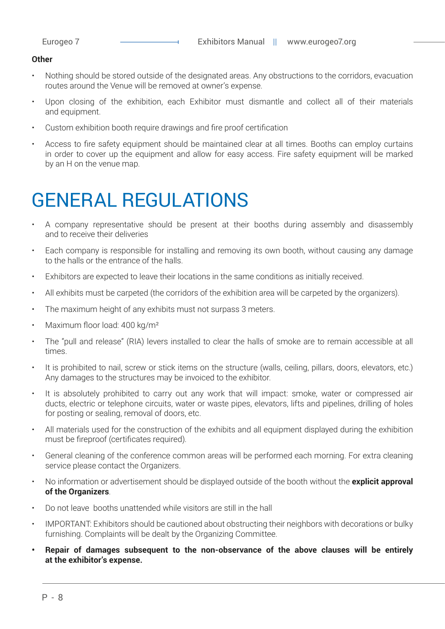#### **Other**

- Nothing should be stored outside of the designated areas. Any obstructions to the corridors, evacuation routes around the Venue will be removed at owner's expense.
- Upon closing of the exhibition, each Exhibitor must dismantle and collect all of their materials and equipment.
- Custom exhibition booth require drawings and fire proof certification
- Access to fire safety equipment should be maintained clear at all times. Booths can employ curtains in order to cover up the equipment and allow for easy access. Fire safety equipment will be marked by an H on the venue map.

### GENERAL REGULATIONS

- A company representative should be present at their booths during assembly and disassembly and to receive their deliveries
- Each company is responsible for installing and removing its own booth, without causing any damage to the halls or the entrance of the halls.
- Exhibitors are expected to leave their locations in the same conditions as initially received.
- All exhibits must be carpeted (the corridors of the exhibition area will be carpeted by the organizers).
- The maximum height of any exhibits must not surpass 3 meters.
- Maximum floor load: 400 kg/m<sup>2</sup>
- The "pull and release" (RIA) levers installed to clear the halls of smoke are to remain accessible at all times.
- It is prohibited to nail, screw or stick items on the structure (walls, ceiling, pillars, doors, elevators, etc.) Any damages to the structures may be invoiced to the exhibitor.
- It is absolutely prohibited to carry out any work that will impact: smoke, water or compressed air ducts, electric or telephone circuits, water or waste pipes, elevators, lifts and pipelines, drilling of holes for posting or sealing, removal of doors, etc.
- All materials used for the construction of the exhibits and all equipment displayed during the exhibition must be fireproof (certificates required).
- General cleaning of the conference common areas will be performed each morning. For extra cleaning service please contact the Organizers.
- No information or advertisement should be displayed outside of the booth without the **explicit approval of the Organizers**.
- Do not leave booths unattended while visitors are still in the hall
- IMPORTANT: Exhibitors should be cautioned about obstructing their neighbors with decorations or bulky furnishing. Complaints will be dealt by the Organizing Committee.
- **• Repair of damages subsequent to the non-observance of the above clauses will be entirely at the exhibitor's expense.**